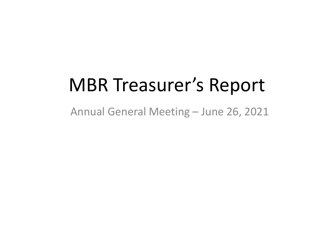# MBR Treasurer's Report

Annual General Meeting – June 26, 2021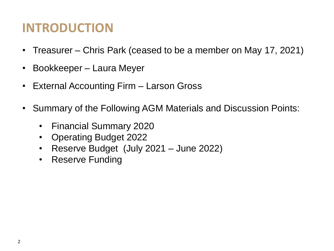# **INTRODUCTION**

- Treasurer Chris Park (ceased to be a member on May 17, 2021)
- Bookkeeper Laura Meyer
- External Accounting Firm Larson Gross
- Summary of the Following AGM Materials and Discussion Points:
	- Financial Summary 2020
	- Operating Budget 2022
	- Reserve Budget (July 2021 June 2022)
	- Reserve Funding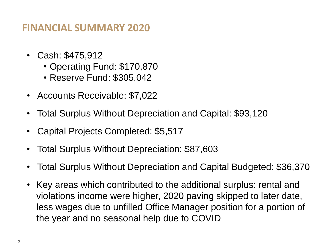#### **FINANCIAL SUMMARY 2020**

- Cash: \$475,912
	- Operating Fund: \$170,870
	- Reserve Fund: \$305,042
- Accounts Receivable: \$7,022
- Total Surplus Without Depreciation and Capital: \$93,120
- Capital Projects Completed: \$5,517
- Total Surplus Without Depreciation: \$87,603
- Total Surplus Without Depreciation and Capital Budgeted: \$36,370
- Key areas which contributed to the additional surplus: rental and violations income were higher, 2020 paving skipped to later date, less wages due to unfilled Office Manager position for a portion of the year and no seasonal help due to COVID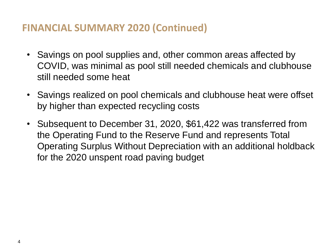### **FINANCIAL SUMMARY 2020 (Continued)**

- Savings on pool supplies and, other common areas affected by COVID, was minimal as pool still needed chemicals and clubhouse still needed some heat
- Savings realized on pool chemicals and clubhouse heat were offset by higher than expected recycling costs
- Subsequent to December 31, 2020, \$61,422 was transferred from the Operating Fund to the Reserve Fund and represents Total Operating Surplus Without Depreciation with an additional holdback for the 2020 unspent road paving budget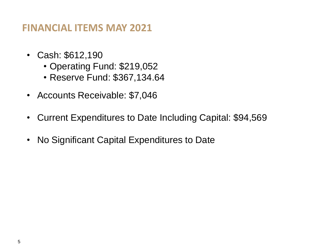#### **FINANCIAL ITEMS MAY 2021**

- Cash: \$612,190
	- Operating Fund: \$219,052
	- Reserve Fund: \$367,134.64
- Accounts Receivable: \$7,046
- Current Expenditures to Date Including Capital: \$94,569
- No Significant Capital Expenditures to Date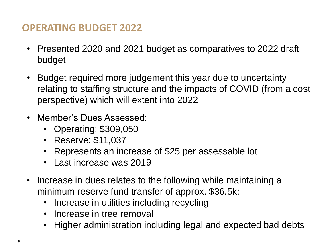# **OPERATING BUDGET 2022**

- Presented 2020 and 2021 budget as comparatives to 2022 draft budget
- Budget required more judgement this year due to uncertainty relating to staffing structure and the impacts of COVID (from a cost perspective) which will extent into 2022
- Member's Dues Assessed:
	- Operating: \$309,050
	- Reserve: \$11,037
	- Represents an increase of \$25 per assessable lot
	- Last increase was 2019
- Increase in dues relates to the following while maintaining a minimum reserve fund transfer of approx. \$36.5k:
	- Increase in utilities including recycling
	- Increase in tree removal
	- Higher administration including legal and expected bad debts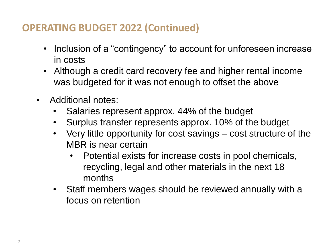# **OPERATING BUDGET 2022 (Continued)**

- Inclusion of a "contingency" to account for unforeseen increase in costs
- Although a credit card recovery fee and higher rental income was budgeted for it was not enough to offset the above
- Additional notes:
	- Salaries represent approx. 44% of the budget
	- Surplus transfer represents approx. 10% of the budget
	- Very little opportunity for cost savings cost structure of the MBR is near certain
		- Potential exists for increase costs in pool chemicals, recycling, legal and other materials in the next 18 months
	- Staff members wages should be reviewed annually with a focus on retention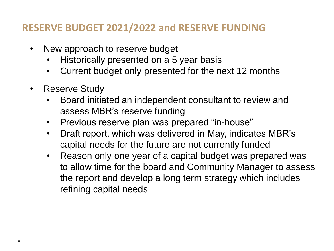## **RESERVE BUDGET 2021/2022 and RESERVE FUNDING**

- New approach to reserve budget
	- Historically presented on a 5 year basis
	- Current budget only presented for the next 12 months
- Reserve Study
	- Board initiated an independent consultant to review and assess MBR's reserve funding
	- Previous reserve plan was prepared "in-house"
	- Draft report, which was delivered in May, indicates MBR's capital needs for the future are not currently funded
	- Reason only one year of a capital budget was prepared was to allow time for the board and Community Manager to assess the report and develop a long term strategy which includes refining capital needs